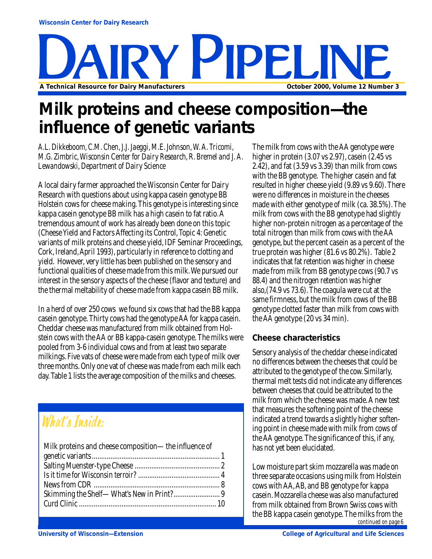# NE<br>Facturers October 2000, Volume 12 Number 3 **A Technical Resource for Dairy Manufacturers**

# **Milk proteins and cheese composition—the influence of genetic variants**

*A.L. Dikkeboom, C.M. Chen, J.J. Jaeggi, M.E. Johnson, W. A. Tricomi, M.G. Zimbric, Wisconsin Center for Dairy Research, R. Bremel and J. A. Lewandowski, Department of Dairy Science*

A local dairy farmer approached the Wisconsin Center for Dairy Research with questions about using kappa casein genotype BB Holstein cows for cheese making. This genotype is interesting since kappa casein genotype BB milk has a high casein to fat ratio. A tremendous amount of work has already been done on this topic (Cheese Yield and Factors Affecting its Control, Topic 4: Genetic variants of milk proteins and cheese yield, IDF Seminar Proceedings, Cork, Ireland, April 1993), particularly in reference to clotting and yield. However, very little has been published on the sensory and functional qualities of cheese made from this milk. We pursued our interest in the sensory aspects of the cheese (flavor and texture) and the thermal meltability of cheese made from kappa casein BB milk.

In a herd of over 250 cows we found six cows that had the BB kappa casein genotype. Thirty cows had the genotype AA for kappa casein. Cheddar cheese was manufactured from milk obtained from Holstein cows with the AA or BB kappa-casein genotype. The milks were pooled from 3-6 individual cows and from at least two separate milkings. Five vats of cheese were made from each type of milk over three months. Only one vat of cheese was made from each milk each day. Table 1 lists the average composition of the milks and cheeses.

# What's Inside:

| Milk proteins and cheese composition-the influence of |  |
|-------------------------------------------------------|--|
|                                                       |  |
|                                                       |  |
|                                                       |  |
|                                                       |  |
|                                                       |  |
|                                                       |  |
|                                                       |  |

The milk from cows with the AA genotype were higher in protein  $(3.07 \text{ vs } 2.97)$ , casein  $(2.45 \text{ vs } 2.97)$ 2.42), and fat (3.59 vs 3.39) than milk from cows with the BB genotype. The higher casein and fat resulted in higher cheese yield (9.89 vs 9.60). There were no differences in moisture in the cheeses made with either genotype of milk (ca. 38.5%). The milk from cows with the BB genotype had slightly higher non-protein nitrogen as a percentage of the total nitrogen than milk from cows with the AA genotype, but the percent casein as a percent of the true protein was higher (81.6 vs 80.2%). Table 2 indicates that fat retention was higher in cheese made from milk from BB genotype cows (90.7 vs 88.4) and the nitrogen retention was higher also,(74.9 vs 73.6). The coagula were cut at the same firmness, but the milk from cows of the BB genotype clotted faster than milk from cows with the AA genotype (20 vs 34 min).

## **Cheese characteristics**

Sensory analysis of the cheddar cheese indicated no differences between the cheeses that could be attributed to the genotype of the cow. Similarly, thermal melt tests did not indicate any differences between cheeses that could be attributed to the milk from which the cheese was made. A new test that measures the softening point of the cheese indicated a trend towards a slightly higher softening point in cheese made with milk from cows of the AA genotype. The significance of this, if any, has not yet been elucidated.

Low moisture part skim mozzarella was made on three separate occasions using milk from Holstein cows with AA, AB, and BB genotype for kappa casein. Mozzarella cheese was also manufactured from milk obtained from Brown Swiss cows with the BB kappa casein genotype. The milks from the *continued on page 6*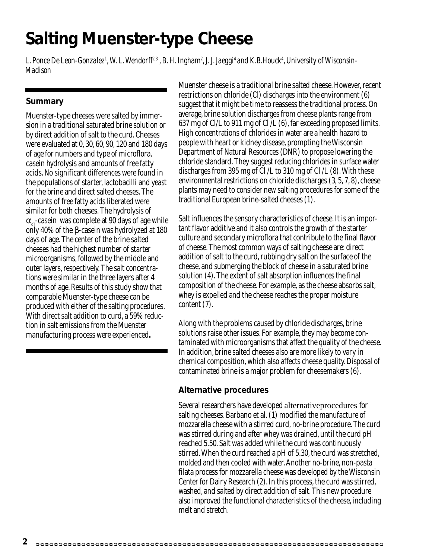# **Salting Muenster-type Cheese**

L. Ponce De Leon-Gonzalez<sup>1</sup>, W. L. Wendorff<sup>2,3</sup> , B. H. Ingham<sup>2</sup>, J. J. Jaeggi<sup>4</sup> and K.B.Houck<sup>4</sup>, University of Wisconsin-*Madison*

#### **Summary**

Muenster-type cheeses were salted by immersion in a traditional saturated brine solution or by direct addition of salt to the curd. Cheeses were evaluated at 0, 30, 60, 90, 120 and 180 days of age for numbers and type of microflora, casein hydrolysis and amounts of free fatty acids. No significant differences were found in the populations of starter, lactobacilli and yeast for the brine and direct salted cheeses. The amounts of free fatty acids liberated were similar for both cheeses. The hydrolysis of  $\alpha_{\rm sl}$ -casein was complete at 90 days of age while only 40% of the β-casein was hydrolyzed at 180 days of age. The center of the brine salted cheeses had the highest number of starter microorganisms, followed by the middle and outer layers, respectively. The salt concentrations were similar in the three layers after 4 months of age. Results of this study show that comparable Muenster-type cheese can be produced with either of the salting procedures. With direct salt addition to curd, a 59% reduction in salt emissions from the Muenster manufacturing process were experienced**.**

Muenster cheese is a traditional brine salted cheese. However, recent restrictions on chloride (Cl) discharges into the environment (6) suggest that it might be time to reassess the traditional process. On average, brine solution discharges from cheese plants range from 637 mg of Cl/L to 911 mg of Cl /L (6), far exceeding proposed limits. High concentrations of chlorides in water are a health hazard to people with heart or kidney disease, prompting the Wisconsin Department of Natural Resources (DNR) to propose lowering the chloride standard. They suggest reducing chlorides in surface water discharges from 395 mg of Cl /L to 310 mg of Cl /L (8). With these environmental restrictions on chloride discharges (3, 5, 7, 8), cheese plants may need to consider new salting procedures for some of the traditional European brine-salted cheeses (1).

Salt influences the sensory characteristics of cheese. It is an important flavor additive and it also controls the growth of the starter culture and secondary microflora that contribute to the final flavor of cheese. The most common ways of salting cheese are: direct addition of salt to the curd, rubbing dry salt on the surface of the cheese, and submerging the block of cheese in a saturated brine solution (4). The extent of salt absorption influences the final composition of the cheese. For example, as the cheese absorbs salt, whey is expelled and the cheese reaches the proper moisture content (7).

Along with the problems caused by chloride discharges, brine solutions raise other issues. For example, they may become contaminated with microorganisms that affect the quality of the cheese. In addition, brine salted cheeses also are more likely to vary in chemical composition, which also affects cheese quality. Disposal of contaminated brine is a major problem for cheesemakers (6).

#### **Alternative procedures**

Several researchers have developed alternativeprocedures for salting cheeses. Barbano et al. (1) modified the manufacture of mozzarella cheese with a stirred curd, no-brine procedure. The curd was stirred during and after whey was drained, until the curd pH reached 5.50. Salt was added while the curd was continuously stirred. When the curd reached a pH of 5.30, the curd was stretched, molded and then cooled with water. Another no-brine, non-pasta filata process for mozzarella cheese was developed by the Wisconsin Center for Dairy Research (2). In this process, the curd was stirred, washed, and salted by direct addition of salt. This new procedure also improved the functional characteristics of the cheese, including melt and stretch.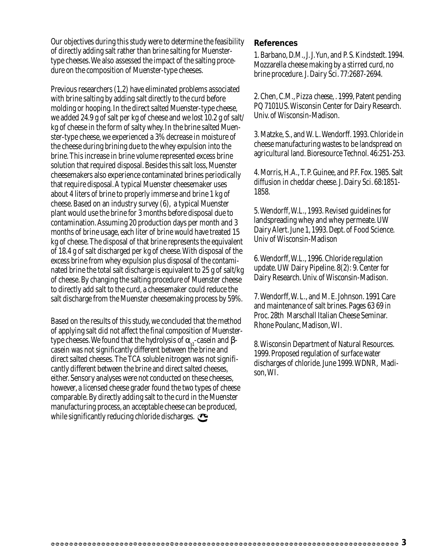Our objectives during this study were to determine the feasibility of directly adding salt rather than brine salting for Muenstertype cheeses. We also assessed the impact of the salting procedure on the composition of Muenster-type cheeses.

Previous researchers (1,2) have eliminated problems associated with brine salting by adding salt directly to the curd before molding or hooping. In the direct salted Muenster-type cheese, we added 24.9 g of salt per kg of cheese and we lost 10.2 g of salt/ kg of cheese in the form of salty whey. In the brine salted Muenster-type cheese, we experienced a 3% decrease in moisture of the cheese during brining due to the whey expulsion into the brine. This increase in brine volume represented excess brine solution that required disposal. Besides this salt loss, Muenster cheesemakers also experience contaminated brines periodically that require disposal. A typical Muenster cheesemaker uses about 4 liters of brine to properly immerse and brine 1 kg of cheese. Based on an industry survey (6), a typical Muenster plant would use the brine for 3 months before disposal due to contamination. Assuming 20 production days per month and 3 months of brine usage, each liter of brine would have treated 15 kg of cheese. The disposal of that brine represents the equivalent of 18.4 g of salt discharged per kg of cheese. With disposal of the excess brine from whey expulsion plus disposal of the contaminated brine the total salt discharge is equivalent to 25 g of salt/kg of cheese. By changing the salting procedure of Muenster cheese to directly add salt to the curd, a cheesemaker could reduce the salt discharge from the Muenster cheesemaking process by 59%.

Based on the results of this study, we concluded that the method of applying salt did not affect the final composition of Muenstertype cheeses. We found that the hydrolysis of  $\alpha_{st}$ -casein and βcasein was not significantly different between the brine and direct salted cheeses. The TCA soluble nitrogen was not significantly different between the brine and direct salted cheeses, either. Sensory analyses were not conducted on these cheeses, however, a licensed cheese grader found the two types of cheese comparable. By directly adding salt to the curd in the Muenster manufacturing process, an acceptable cheese can be produced, while significantly reducing chloride discharges.

#### **References**

1. Barbano, D.M., J. J. Yun, and P. S. Kindstedt. 1994. Mozzarella cheese making by a stirred curd, no brine procedure*.* J. Dairy Sci. 77:2687-2694.

2. Chen, C.M., *Pizza cheese*, . 1999, Patent pending PQ 7101US. Wisconsin Center for Dairy Research. Univ. of Wisconsin-Madison.

3. Matzke, S., and W. L. Wendorff. 1993. Chloride in cheese manufacturing wastes to be landspread on agricultural land*.* Bioresource Technol. 46:251-253.

4. Morris, H.A., T. P. Guinee, and P.F. Fox. 1985. Salt diffusion in cheddar cheese*.* J. Dairy Sci. 68:1851- 1858.

5. Wendorff, W.L., 1993. Revised guidelines for landspreading whey and whey permeate. UW Dairy Alert. June 1, 1993. Dept. of Food Science. Univ of Wisconsin-Madison

6. Wendorff, W.L., 1996. Chloride regulation update. UW Dairy Pipeline. 8(2): 9. Center for Dairy Research. Univ. of Wisconsin-Madison.

7. Wendorff, W. L., and M. E. Johnson. 1991 Care and maintenance of salt brines. Pages 63 69 *in* Proc. 28th Marschall Italian Cheese Seminar. Rhone Poulanc, Madison, WI.

8. Wisconsin Department of Natural Resources. 1999. Proposed regulation of surface water discharges of chloride*.* June 1999. WDNR, Madison, WI.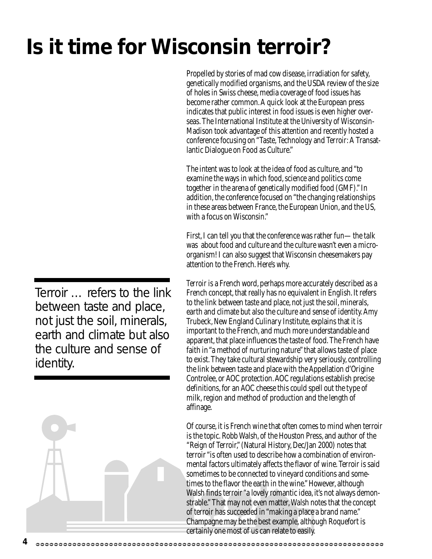*Terroir* … refers to the link between taste and place, not just the soil, minerals, earth and climate but also the culture and sense of identity.

# **Is it time for Wisconsin** *terroir***?**

Propelled by stories of mad cow disease, irradiation for safety, genetically modified organisms, and the USDA review of the size of holes in Swiss cheese, media coverage of food issues has become rather common. A quick look at the European press indicates that public interest in food issues is even higher overseas. The International Institute at the University of Wisconsin-Madison took advantage of this attention and recently hosted a conference focusing on "Taste, Technology and *Terroir*: A Transatlantic Dialogue on Food as Culture."

The intent was to look at the idea of food as culture, and "to examine the ways in which food, science and politics come together in the arena of genetically modified food (GMF)." In addition, the conference focused on "the changing relationships in these areas between France, the European Union, and the US, with a focus on Wisconsin."

First, I can tell you that the conference was rather fun—the talk was about food and culture and the culture wasn't even a microorganism! I can also suggest that Wisconsin cheesemakers pay attention to the French. Here's why.

*Terroir* is a French word, perhaps more accurately described as a French concept, that really has no equivalent in English. It refers to the link between taste and place, not just the soil, minerals, earth and climate but also the culture and sense of identity. Amy Trubeck, New England Culinary Institute, explains that it is important to the French, and much more understandable and apparent, that place influences the taste of food. The French have faith in "a method of nurturing nature" that allows taste of place to exist. They take cultural stewardship very seriously, controlling the link between taste and place with the Appellation d'Origine Controlee, or AOC protection. AOC regulations establish precise definitions, for an AOC cheese this could spell out the type of milk, region and method of production and the length of affinage.

Of course, it is French wine that often comes to mind when terroir is the topic. Robb Walsh, of the Houston Press, and author of the "Reign of Terroir," (Natural History, Dec/Jan 2000) notes that terroir "is often used to describe how a combination of environmental factors ultimately affects the flavor of wine. Terroir is said sometimes to be connected to vineyard conditions and sometimes to the flavor the earth in the wine." However, although Walsh finds terroir "a lovely romantic idea, it's not always demonstrable." That may not even matter, Walsh notes that the concept of terroir has succeeded in "making a place a brand name." Champagne may be the best example, although Roquefort is certainly one most of us can relate to easily.

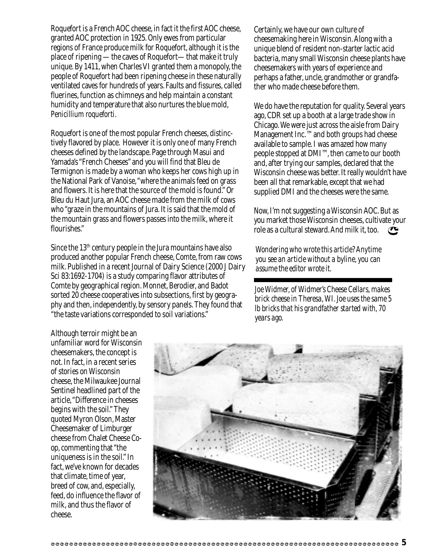Roquefort is a French AOC cheese, in fact it the first AOC cheese, granted AOC protection in 1925. Only ewes from particular regions of France produce milk for Roquefort, although it is the place of ripening —the caves of Roquefort—that make it truly unique. By 1411, when Charles VI granted them a monopoly, the people of Roquefort had been ripening cheese in these naturally ventilated caves for hundreds of years. Faults and fissures, called fluerines, function as chimneys and help maintain a constant humidity and temperature that also nurtures the blue mold, *Penicillium roqueforti*.

Roquefort is one of the most popular French cheeses, distinctively flavored by place. However it is only one of many French cheeses defined by the landscape. Page through Masui and Yamada's "French Cheeses" and you will find that Bleu de Termignon is made by a woman who keeps her cows high up in the National Park of Vanoise, "where the animals feed on grass and flowers. It is here that the source of the mold is found." Or Bleu du Haut Jura, an AOC cheese made from the milk of cows who "graze in the mountains of Jura. It is said that the mold of the mountain grass and flowers passes into the milk, where it flourishes."

Since the  $13<sup>th</sup>$  century people in the Jura mountains have also produced another popular French cheese, Comte, from raw cows milk. Published in a recent Journal of Dairy Science (2000 J Dairy Sci 83:1692-1704) is a study comparing flavor attributes of Comte by geographical region. Monnet, Berodier, and Badot sorted 20 cheese cooperatives into subsections, first by geography and then, independently, by sensory panels. They found that "the taste variations corresponded to soil variations."

Certainly, we have our own culture of cheesemaking here in Wisconsin. Along with a unique blend of resident non-starter lactic acid bacteria, many small Wisconsin cheese plants have cheesemakers with years of experience and perhaps a father, uncle, grandmother or grandfather who made cheese before them.

We do have the reputation for quality. Several years ago, CDR set up a booth at a large trade show in Chicago. We were just across the aisle from Dairy Management Inc.™ and both groups had cheese available to sample. I was amazed how many people stopped at DMI™, then came to our booth and, after trying our samples, declared that the Wisconsin cheese was better. It really wouldn't have been all that remarkable, except that we had supplied DMI and the cheeses were the same.

Now, I'm not suggesting a Wisconsin AOC. But as you market those Wisconsin cheeses, cultivate your role as a cultural steward. And milk it, too.  $\bullet$ 

*Wondering who wrote this article? Anytime you see an article without a byline, you can assume the editor wrote it.*

*Joe Widmer, of Widmer's Cheese Cellars, makes brick cheese in Theresa, WI. Joe uses the same 5 lb bricks that his grandfather started with, 70 years ago.*

Although terroir might be an unfamiliar word for Wisconsin cheesemakers, the concept is not. In fact, in a recent series of stories on Wisconsin cheese, the Milwaukee Journal Sentinel headlined part of the article, "Difference in cheeses begins with the soil." They quoted Myron Olson, Master Cheesemaker of Limburger cheese from Chalet Cheese Coop, commenting that "the uniqueness is in the soil." In fact, we've known for decades that climate, time of year, breed of cow, and, especially, feed, do influence the flavor of milk, and thus the flavor of cheese.

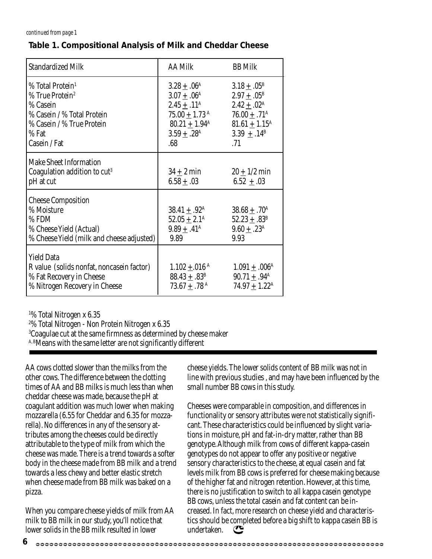#### *continued from page 1*

#### **Table 1. Compositional Analysis of Milk and Cheddar Cheese**

| <b>Standardized Milk</b>                                                                                                                                    | <b>AA Milk</b>                                                                                                                                                                | <b>BB</b> Milk                                                                                                                                                     |
|-------------------------------------------------------------------------------------------------------------------------------------------------------------|-------------------------------------------------------------------------------------------------------------------------------------------------------------------------------|--------------------------------------------------------------------------------------------------------------------------------------------------------------------|
| % Total Protein <sup>1</sup><br>% True Protein <sup>2</sup><br>% Casein<br>% Casein / % Total Protein<br>% Casein / % True Protein<br>% Fat<br>Casein / Fat | $3.28 \pm .06^{\rm A}$<br>$3.07 + .06^{\text{A}}$<br>$2.45 \pm .11^{\rm A}$<br>$75.00 + 1.73$ <sup>A</sup><br>$80.21 + 1.94^{\text{A}}$<br>$3.59 \pm .28$ <sup>A</sup><br>.68 | $3.18 \pm .05^{\rm B}$<br>$2.97 + .05^{\rm B}$<br>$2.42 \pm .02^{\rm A}$<br>$76.00 + .71^{\text{A}}$<br>$81.61 + 1.15^{\text{A}}$<br>3.39 $\pm .14^{\rm B}$<br>.71 |
| <b>Make Sheet Information</b><br>Coagulation addition to cut <sup>3</sup><br>pH at cut                                                                      | $34 \pm 2$ min<br>$6.58 \pm .03$                                                                                                                                              | $20 \pm 1/2$ min<br>$6.52 \pm .03$                                                                                                                                 |
| <b>Cheese Composition</b><br>% Moisture<br>$%$ FDM<br>% Cheese Yield (Actual)<br>% Cheese Yield (milk and cheese adjusted)                                  | $38.41 \pm .92^{\rm A}$<br>$52.05 \pm 2.1^{\rm A}$<br>$9.89 \pm .41^{\rm A}$<br>9.89                                                                                          | $38.68 \pm .70^{\rm A}$<br>$52.23 \pm .83^{\rm B}$<br>$9.60 \pm .23^{\rm A}$<br>9.93                                                                               |
| <b>Yield Data</b><br>R value (solids nonfat, noncasein factor)<br>% Fat Recovery in Cheese<br>% Nitrogen Recovery in Cheese                                 | $1.102 \pm .016$ <sup>A</sup><br>$88.43 \pm .83^{\rm B}$<br>$73.67 \pm .78$ <sup>A</sup>                                                                                      | $1.091 \pm .006^{\rm A}$<br>$90.71 \pm .94^{\text{A}}$<br>$74.97 \pm 1.22^{\text{A}}$                                                                              |

1 % Total Nitrogen x 6.35

2 % Total Nitrogen - Non Protein Nitrogen x 6.35

 $^{\rm 3}$ Coagulae cut at the same firmness as determined by cheese maker

A, BMeans with the same letter are not significantly different

AA cows clotted slower than the milks from the other cows. The difference between the clotting times of AA and BB milks is much less than when cheddar cheese was made, because the pH at coagulant addition was much lower when making mozzarella (6.55 for Cheddar and 6.35 for mozzarella). No differences in any of the sensory attributes among the cheeses could be directly attributable to the type of milk from which the cheese was made. There is a trend towards a softer body in the cheese made from BB milk and a trend towards a less chewy and better elastic stretch when cheese made from BB milk was baked on a pizza.

When you compare cheese yields of milk from AA milk to BB milk in our study, you'll notice that lower solids in the BB milk resulted in lower

cheese yields. The lower solids content of BB milk was not in line with previous studies , and may have been influenced by the small number BB cows in this study.

Cheeses were comparable in composition, and differences in functionality or sensory attributes were not statistically significant. These characteristics could be influenced by slight variations in moisture, pH and fat-in-dry matter, rather than BB genotype. Although milk from cows of different kappa-casein genotypes do not appear to offer any positive or negative sensory characteristics to the cheese, at equal casein and fat levels milk from BB cows is preferred for cheese making because of the higher fat and nitrogen retention. However, at this time, there is no justification to switch to all kappa casein genotype BB cows, unless the total casein and fat content can be increased. In fact, more research on cheese yield and characteristics should be completed before a big shift to kappa casein BB is undertaken. $\sigma$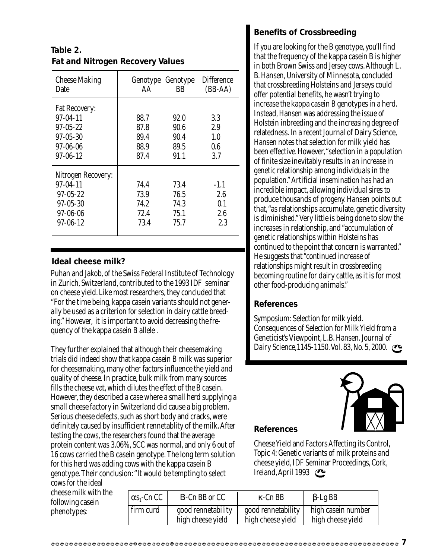# **Fat and Nitrogen Recovery Values Table 2.**

| <b>Cheese Making</b><br>Date                                                                                   | AA                                   | Genotype Genotype<br>BB              | <b>Difference</b><br>$(BB-AA)$     |
|----------------------------------------------------------------------------------------------------------------|--------------------------------------|--------------------------------------|------------------------------------|
| <b>Fat Recovery:</b><br>$97 - 04 - 11$<br>$97 - 05 - 22$<br>$97 - 05 - 30$<br>$97 - 06 - 06$<br>$97 - 06 - 12$ | 88.7<br>87.8<br>89.4<br>88.9<br>87.4 | 92.0<br>90.6<br>90.4<br>89.5<br>91.1 | 3.3<br>2.9<br>1.0<br>0.6<br>3.7    |
| Nitrogen Recovery:<br>$97 - 04 - 11$<br>$97 - 05 - 22$<br>$97 - 05 - 30$<br>$97 - 06 - 06$<br>$97 - 06 - 12$   | 74.4<br>73.9<br>74.2<br>72.4<br>73.4 | 73.4<br>76.5<br>74.3<br>75.1<br>75.7 | $-1.1$<br>2.6<br>0.1<br>2.6<br>2.3 |

## **Ideal cheese milk?**

Puhan and Jakob, of the Swiss Federal Institute of Technology in Zurich, Switzerland, contributed to the 1993 IDF seminar on cheese yield. Like most researchers, they concluded that "For the time being, kappa casein variants should not generally be used as a criterion for selection in dairy cattle breeding." However, it is important to avoid decreasing the frequency of the kappa casein B allele .

They further explained that although their cheesemaking trials did indeed show that kappa casein B milk was superior for cheesemaking, many other factors influence the yield and quality of cheese. In practice, bulk milk from many sources fills the cheese vat, which dilutes the effect of the B casein. However, they described a case where a small herd supplying a small cheese factory in Switzerland did cause a big problem. Serious cheese defects, such as short body and cracks, were definitely caused by insufficient rennetablity of the milk. After testing the cows, the researchers found that the average protein content was 3.06%, SCC was normal, and only 6 out of 16 cows carried the B casein genotype. The long term solution for this herd was adding cows with the kappa casein B genotype. Their conclusion: "It would be tempting to select

cows for the ideal cheese milk with the following casein phenotypes:

| $\alpha s_1$ -Cn CC | <b>B-Cn BB or CC</b> | $\kappa$ -Cn BB    | $\beta$ -Lg BB     |
|---------------------|----------------------|--------------------|--------------------|
| l firm curd         | good rennetability   | good rennetability | high casein number |
|                     | high cheese yield    | high cheese yield  | high cheese yield  |

# **Benefits of Crossbreeding**

If you are looking for the B genotype, you'll find that the frequency of the kappa casein B is higher in both Brown Swiss and Jersey cows. Although L. B. Hansen, University of Minnesota, concluded that crossbreeding Holsteins and Jerseys could offer potential benefits, he wasn't trying to increase the kappa casein B genotypes in a herd. Instead, Hansen was addressing the issue of Holstein inbreeding and the increasing degree of relatedness. In a recent Journal of Dairy Science, Hansen notes that selection for milk yield has been effective. However, "selection in a population of finite size inevitably results in an increase in genetic relationship among individuals in the population." Artificial insemination has had an incredible impact, allowing individual sires to produce thousands of progeny. Hansen points out that, "as relationships accumulate, genetic diversity is diminished." Very little is being done to slow the increases in relationship, and "accumulation of genetic relationships within Holsteins has continued to the point that concern is warranted." He suggests that "continued increase of relationships might result in crossbreeding becoming routine for dairy cattle, as it is for most other food-producing animals."

## **References**

Symposium: Selection for milk yield. Consequences of Selection for Milk Yield from a Geneticist's Viewpoint, L.B. Hansen. Journal of Dairy Science,1145-1150. Vol. 83, No. 5, 2000.



## **References**

Cheese Yield and Factors Affecting its Control, Topic 4: Genetic variants of milk proteins and cheese yield, IDF Seminar Proceedings, Cork, Ireland, April 1993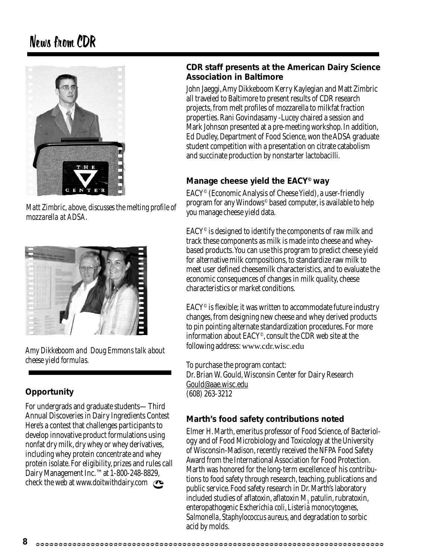# News from CDR



*Matt Zimbric, above, discusses the melting profile of mozzarella at ADSA.*



*Amy Dikkeboom and Doug Emmons talk about cheese yield formulas.*

# **Opportunity**

For undergrads and graduate students—Third Annual Discoveries in Dairy Ingredients Contest Here's a contest that challenges participants to develop innovative product formulations using nonfat dry milk, dry whey or whey derivatives, including whey protein concentrate and whey protein isolate. For eligibility, prizes and rules call Dairy Management Inc.™ at 1-800-248-8829, check the web at www.doitwithdairy.com

### **CDR staff presents at the American Dairy Science Association in Baltimore**

John Jaeggi, Amy Dikkeboom Kerry Kaylegian and Matt Zimbric all traveled to Baltimore to present results of CDR research projects, from melt profiles of mozzarella to milkfat fraction properties. Rani Govindasamy -Lucey chaired a session and Mark Johnson presented at a pre-meeting workshop. In addition, Ed Dudley, Department of Food Science, won the ADSA graduate student competition with a presentation on citrate catabolism and succinate production by nonstarter lactobacilli.

# **Manage cheese yield the EACY© way**

EACY© (Economic Analysis of Cheese Yield), a user-friendly program for any Windows© based computer, is available to help you manage cheese yield data.

 $EACY^{\circ}$  is designed to identify the components of raw milk and track these components as milk is made into cheese and wheybased products. You can use this program to predict cheese yield for alternative milk compositions, to standardize raw milk to meet user defined cheesemilk characteristics, and to evaluate the economic consequences of changes in milk quality, cheese characteristics or market conditions.

 $EACY^{\circ}$  is flexible; it was written to accommodate future industry changes, from designing new cheese and whey derived products to pin pointing alternate standardization procedures. For more information about EACY©, consult the CDR web site at the following address: www.cdr.wisc.edu

To purchase the program contact: Dr. Brian W. Gould, Wisconsin Center for Dairy Research Gould@aae.wisc.edu (608) 263-3212

# **Marth's food safety contributions noted**

Elmer H. Marth, emeritus professor of Food Science, of Bacteriology and of Food Microbiology and Toxicology at the University of Wisconsin-Madison, recently received the NFPA Food Safety Award from the International Association for Food Protection. Marth was honored for the long-term excellence of his contributions to food safety through research, teaching, publications and public service. Food safety research in Dr. Marth's laboratory included studies of aflatoxin, aflatoxin  $M_{1}$  patulin, rubratoxin, enteropathogenic *Escherichia coli*, *Listeria monocytogenes*, S*almonella*, *Staphylococcus aureus*, and degradation to sorbic acid by molds.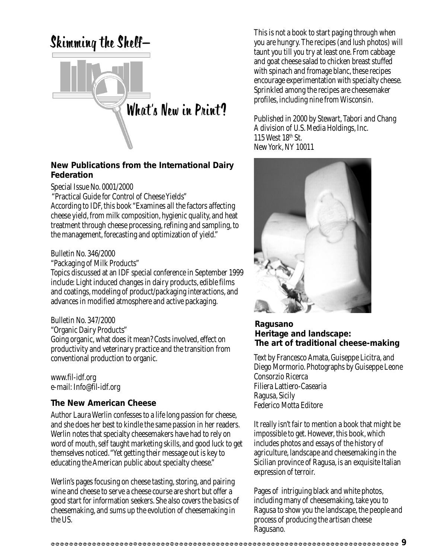

### **New Publications from the International Dairy Federation**

Special Issue No. 0001/2000

"Practical Guide for Control of Cheese Yields"

According to IDF, this book "Examines all the factors affecting cheese yield, from milk composition, hygienic quality, and heat treatment through cheese processing, refining and sampling, to the management, forecasting and optimization of yield."

#### Bulletin No. 346/2000

"Packaging of Milk Products"

Topics discussed at an IDF special conference in September 1999 include: Light induced changes in dairy products, edible films and coatings, modeling of product/packaging interactions, and advances in modified atmosphere and active packaging.

#### Bulletin No. 347/2000

"Organic Dairy Products"

Going organic, what does it mean? Costs involved, effect on productivity and veterinary practice and the transition from conventional production to organic.

www.fil-idf.org e-mail: Info@fil-idf.org

#### **The New American Cheese**

Author Laura Werlin confesses to a life long passion for cheese, and she does her best to kindle the same passion in her readers. Werlin notes that specialty cheesemakers have had to rely on word of mouth, self taught marketing skills, and good luck to get themselves noticed. "Yet getting their message out is key to educating the American public about specialty cheese."

Werlin's pages focusing on cheese tasting, storing, and pairing wine and cheese to serve a cheese course are short but offer a good start for information seekers. She also covers the basics of cheesemaking, and sums up the evolution of cheesemaking in the US.

This is not a book to start paging through when you are hungry. The recipes (and lush photos) will taunt you till you try at least one. From cabbage and goat cheese salad to chicken breast stuffed with spinach and fromage blanc, these recipes encourage experimentation with specialty cheese. Sprinkled among the recipes are cheesemaker profiles, including nine from Wisconsin.

Published in 2000 by Stewart, Tabori and Chang A division of U.S. Media Holdings, Inc. 115 West 18th St. New York, NY 10011



#### **Ragusano Heritage and landscape: The art of traditional cheese-making**

Text by Francesco Amata, Guiseppe Licitra, and Diego Mormorio. Photographs by Guiseppe Leone Consorzio Ricerca Filiera Lattiero-Casearia Ragusa, Sicily Federico Motta Editore

It really isn't fair to mention a book that might be impossible to get. However, this book, which includes photos and essays of the history of agriculture, landscape and cheesemaking in the Sicilian province of Ragusa, is an exquisite Italian expression of terroir.

Pages of intriguing black and white photos, including many of cheesemaking, take you to Ragusa to show you the landscape, the people and process of producing the artisan cheese Ragusano.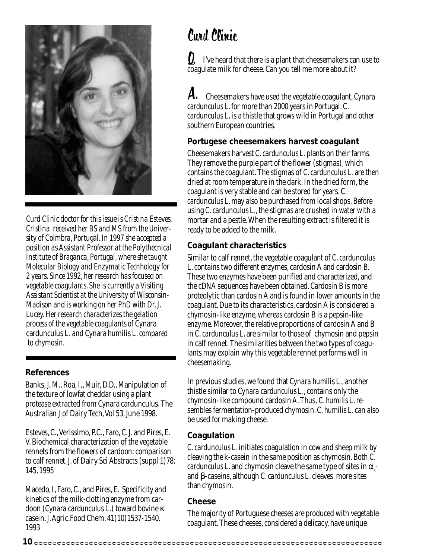

*Curd Clinic doctor for this issue is Cristina Esteves. Cristina received her BS and MS from the University of Coimbra, Portugal. In 1997 she accepted a position as Assistant Professor at the Polythecnical Institute of Braganca, Portugal, where she taught Molecular Biology and Enzymatic Tecnhology for 2 years. Since 1992, her research has focused on vegetable coagulants. She is currently a Visiting Assistant Scientist at the University of Wisconsin-Madison and is working on her PhD with Dr. J. Lucey. Her research characterizes the gelation process of the vegetable coagulants of* Cynara cardunculus L. *and* Cynara humilis *L. compared to chymosin.*

#### **References**

Banks, J. M., Roa, I., Muir, D.D., Manipulation of the texture of lowfat cheddar using a plant protease extracted from Cynara cardunculus. The Australian J of Dairy Tech, Vol 53, June 1998.

Esteves, C., Verissimo, P.C., Faro, C. J. and Pires, E. V. Biochemical characterization of the vegetable rennets from the flowers of cardoon: comparison to calf rennet. J. of Dairy Sci Abstracts (suppl 1)78: 145, 1995

Macedo, I, Faro, C., and Pires, E. Specificity and kinetics of the milk-clotting enzyme from cardoon (*Cynara cardunculus* L.) toward bovine κ casein. J. Agric.Food Chem. 41(10)1537-1540. 1993

# Curd Clinic

 I've heard that there is a plant that cheesemakers can use to coagulate milk for cheese. Can you tell me more about it? Q.

 Cheesemakers have used the vegetable coagulant, *Cynara cardunculus* L. for more than 2000 years in Portugal. *C. cardunculus* L. is a thistle that grows wild in Portugal and other southern European countries. A.

## **Portugese cheesemakers harvest coagulant**

Cheesemakers harvest *C. cardunculus* L. plants on their farms. They remove the purple part of the flower (stigmas), which contains the coagulant. The stigmas of *C. cardunculus* L. are then dried at room temperature in the dark. In the dried form, the coagulant is very stable and can be stored for years. *C. cardunculus* L. may also be purchased from local shops. Before using *C. cardunculus* L., the stigmas are crushed in water with a mortar and a pestle. When the resulting extract is filtered it is ready to be added to the milk.

## **Coagulant characteristics**

Similar to calf rennet, the vegetable coagulant of *C. cardunculus* L. contains two different enzymes, cardosin A and cardosin B. These two enzymes have been purified and characterized, and the cDNA sequences have been obtained. Cardosin B is more proteolytic than cardosin A and is found in lower amounts in the coagulant. Due to its characteristics, cardosin A is considered a chymosin-like enzyme, whereas cardosin B is a pepsin-like enzyme. Moreover, the relative proportions of cardosin A and B in *C. cardunculus* L. are similar to those of chymosin and pepsin in calf rennet. The similarities between the two types of coagulants may explain why this vegetable rennet performs well in cheesemaking.

In previous studies, we found that *Cynara humilis* L., another thistle similar to *Cynara cardunculus* L., contains only the chymosin-like compound cardosin A. Thus, *C. humilis* L. resembles fermentation-produced chymosin. *C. humilis* L. can also be used for making cheese.

# **Coagulation**

*C. cardunculus* L. initiates coagulation in cow and sheep milk by cleaving the k-casein in the same position as chymosin. Both *C. cardunculus* L. and chymosin cleave the same type of sites in  $\alpha_s$ and β-caseins, although *C. cardunculus* L. cleaves more sites than chymosin.

#### **Cheese**

The majority of Portuguese cheeses are produced with vegetable coagulant. These cheeses, considered a delicacy, have unique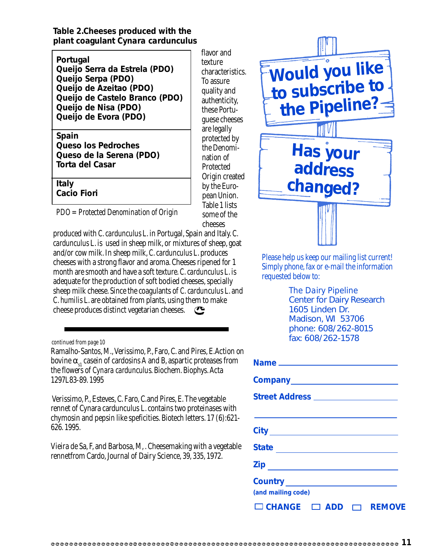**Table 2.Cheeses produced with the plant coagulant** *Cynara cardunculus*

**Portugal**

**Queijo Serra da Estrela (PDO) Queijo Serpa (PDO) Queijo de Azeitao (PDO) Queijo de Castelo Branco (PDO) Queijo de Nisa (PDO) Queijo de Evora (PDO)**

**Spain Queso los Pedroches Queso de la Serena (PDO) Torta del Casar**

**Italy**

**Cacio Fiori**

*PDO = Protected Denomination of Origin*

produced with *C. cardunculus* L. in Portugal, Spain and Italy. *C. cardunculus* L. is used in sheep milk, or mixtures of sheep, goat and/or cow milk. In sheep milk, *C. cardunculus* L. produces cheeses with a strong flavor and aroma. Cheeses ripened for 1 month are smooth and have a soft texture. *C. cardunculus* L. is adequate for the production of soft bodied cheeses, specially sheep milk cheese. Since the coagulants of *C. cardunculus* L. and *C. humilis* L. are obtained from plants, using them to make cheese produces distinct vegetarian cheeses.

*continued from page 10*

Ramalho-Santos, M., Verissimo, P., Faro, C. and Pires, E.Action on bovine  $\alpha_{1}$  casein of cardosins A and B, aspartic proteases from the flowers of *Cynara cardunculus*. Biochem. Biophys. Acta 1297L83-89. 1995

 Verissimo, P., Esteves, C. Faro, C.and Pires, E. The vegetable rennet of Cynara cardunculus L. contains two proteinases with chymosin and pepsin like speficities. Biotech letters. 17 (6):621- 626. 1995.

Vieira de Sa, F, and Barbosa, M, . Cheesemaking with a vegetable rennetfrom Cardo, Journal of Dairy Science, 39, 335, 1972.

flavor and texture characteristics. To assure quality and authenticity, these Portuguese cheeses are legally protected by the Denomination of Protected Origin created by the European Union. Table 1 lists some of the cheeses

> Please help us keep our mailing list current! Simply phone, fax or e-mail the information requested below to:

**Has your**

**Would you like**

**to subscribe to**

**the Pipeline?**

**address**

**changed?**

*The Dairy Pipeline* Center for Dairy Research 1605 Linden Dr. Madison, WI 53706 phone: 608/262-8015 fax: 608/262-1578

| Street Address ___________________     |
|----------------------------------------|
|                                        |
|                                        |
| State ___________________________      |
|                                        |
|                                        |
| (and mailing code)                     |
| $\Box$ CHANGE $\Box$ ADD $\Box$ REMOVE |